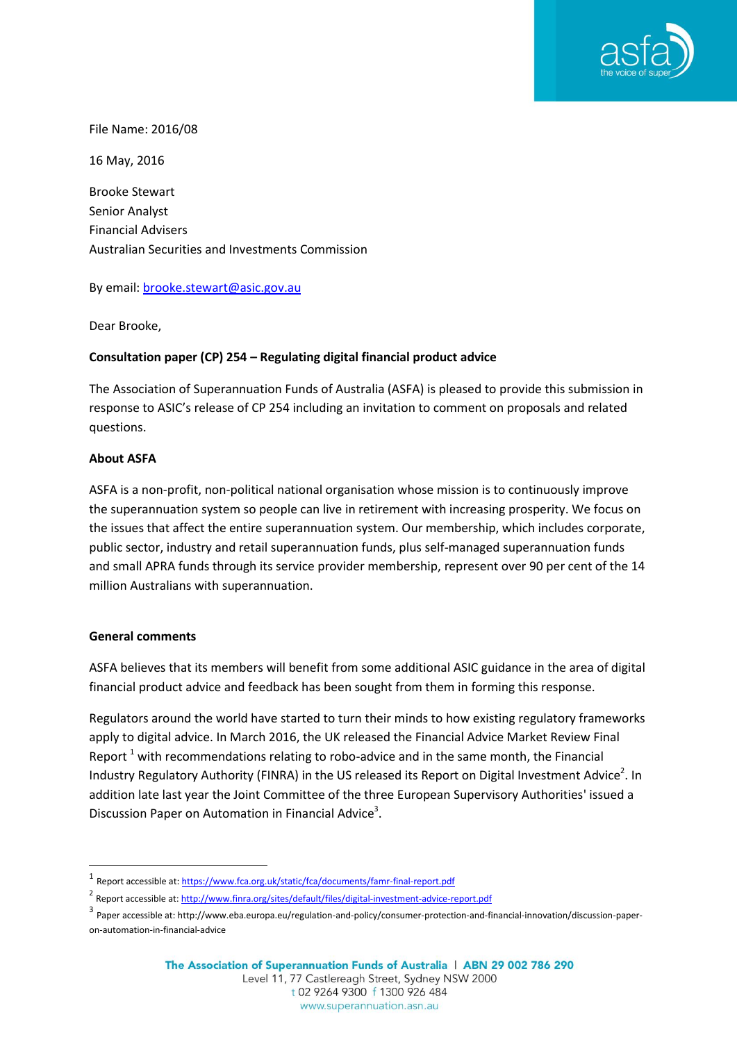

File Name: 2016/08

16 May, 2016

Brooke Stewart Senior Analyst Financial Advisers Australian Securities and Investments Commission

By email: [brooke.stewart@asic.gov.au](mailto:brooke.stewart@asic.gov.au)

Dear Brooke,

### **Consultation paper (CP) 254 – Regulating digital financial product advice**

The Association of Superannuation Funds of Australia (ASFA) is pleased to provide this submission in response to ASIC's release of CP 254 including an invitation to comment on proposals and related questions.

#### **About ASFA**

ASFA is a non-profit, non-political national organisation whose mission is to continuously improve the superannuation system so people can live in retirement with increasing prosperity. We focus on the issues that affect the entire superannuation system. Our membership, which includes corporate, public sector, industry and retail superannuation funds, plus self-managed superannuation funds and small APRA funds through its service provider membership, represent over 90 per cent of the 14 million Australians with superannuation.

#### **General comments**

**.** 

ASFA believes that its members will benefit from some additional ASIC guidance in the area of digital financial product advice and feedback has been sought from them in forming this response.

Regulators around the world have started to turn their minds to how existing regulatory frameworks apply to digital advice. In March 2016, the UK released the Financial Advice Market Review Final Report  $1$  with recommendations relating to robo-advice and in the same month, the Financial Industry Regulatory Authority (FINRA) in the US released its Report on Digital Investment Advice<sup>2</sup>. In addition late last year the Joint Committee of the three European Supervisory Authorities' issued a Discussion Paper on Automation in Financial Advice<sup>3</sup>.

<sup>1&</sup>lt;br>Report accessible at[: https://www.fca.org.uk/static/fca/documents/famr-final-report.pdf](https://www.fca.org.uk/static/fca/documents/famr-final-report.pdf)

<sup>&</sup>lt;sup>2</sup> Report accessible at: <u>http://www.finra.org/sites/default/files/digital-investment-advice-report.pdf</u>

<sup>3</sup> Paper accessible at: http://www.eba.europa.eu/regulation-and-policy/consumer-protection-and-financial-innovation/discussion-paperon-automation-in-financial-advice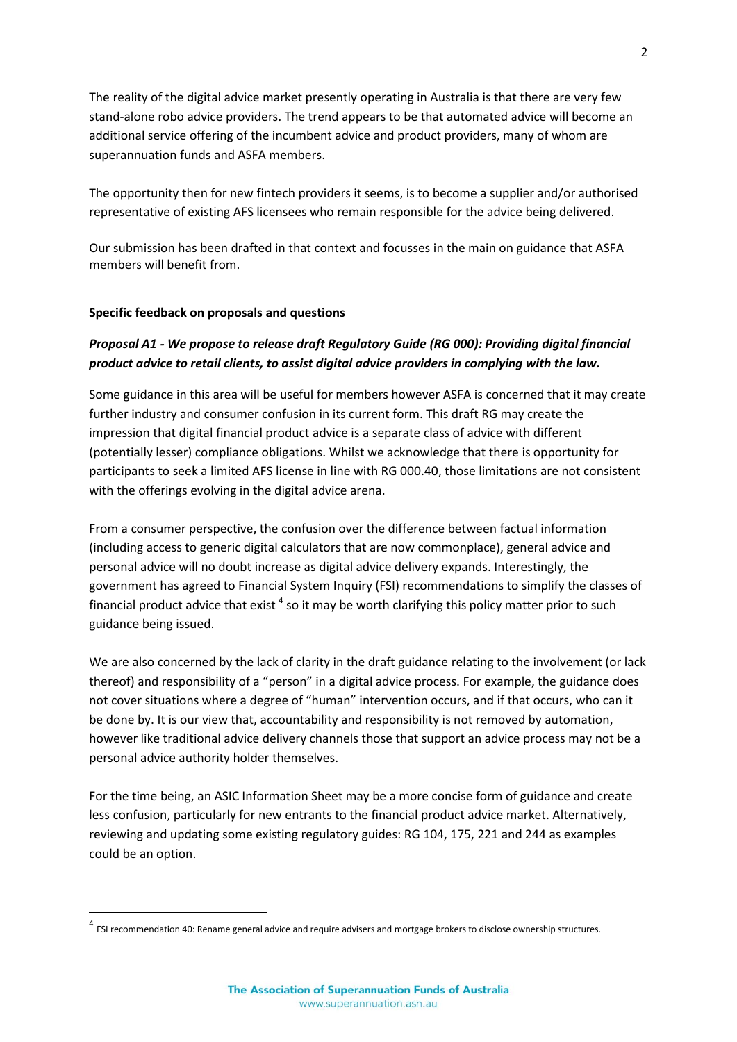The reality of the digital advice market presently operating in Australia is that there are very few stand-alone robo advice providers. The trend appears to be that automated advice will become an additional service offering of the incumbent advice and product providers, many of whom are superannuation funds and ASFA members.

The opportunity then for new fintech providers it seems, is to become a supplier and/or authorised representative of existing AFS licensees who remain responsible for the advice being delivered.

Our submission has been drafted in that context and focusses in the main on guidance that ASFA members will benefit from.

#### **Specific feedback on proposals and questions**

**.** 

### *Proposal A1 - We propose to release draft Regulatory Guide (RG 000): Providing digital financial product advice to retail clients, to assist digital advice providers in complying with the law.*

Some guidance in this area will be useful for members however ASFA is concerned that it may create further industry and consumer confusion in its current form. This draft RG may create the impression that digital financial product advice is a separate class of advice with different (potentially lesser) compliance obligations. Whilst we acknowledge that there is opportunity for participants to seek a limited AFS license in line with RG 000.40, those limitations are not consistent with the offerings evolving in the digital advice arena.

From a consumer perspective, the confusion over the difference between factual information (including access to generic digital calculators that are now commonplace), general advice and personal advice will no doubt increase as digital advice delivery expands. Interestingly, the government has agreed to Financial System Inquiry (FSI) recommendations to simplify the classes of financial product advice that exist  $^4$  so it may be worth clarifying this policy matter prior to such guidance being issued.

We are also concerned by the lack of clarity in the draft guidance relating to the involvement (or lack thereof) and responsibility of a "person" in a digital advice process. For example, the guidance does not cover situations where a degree of "human" intervention occurs, and if that occurs, who can it be done by. It is our view that, accountability and responsibility is not removed by automation, however like traditional advice delivery channels those that support an advice process may not be a personal advice authority holder themselves.

For the time being, an ASIC Information Sheet may be a more concise form of guidance and create less confusion, particularly for new entrants to the financial product advice market. Alternatively, reviewing and updating some existing regulatory guides: RG 104, 175, 221 and 244 as examples could be an option.

<sup>&</sup>lt;sup>4</sup> FSI recommendation 40: Rename general advice and require advisers and mortgage brokers to disclose ownership structures.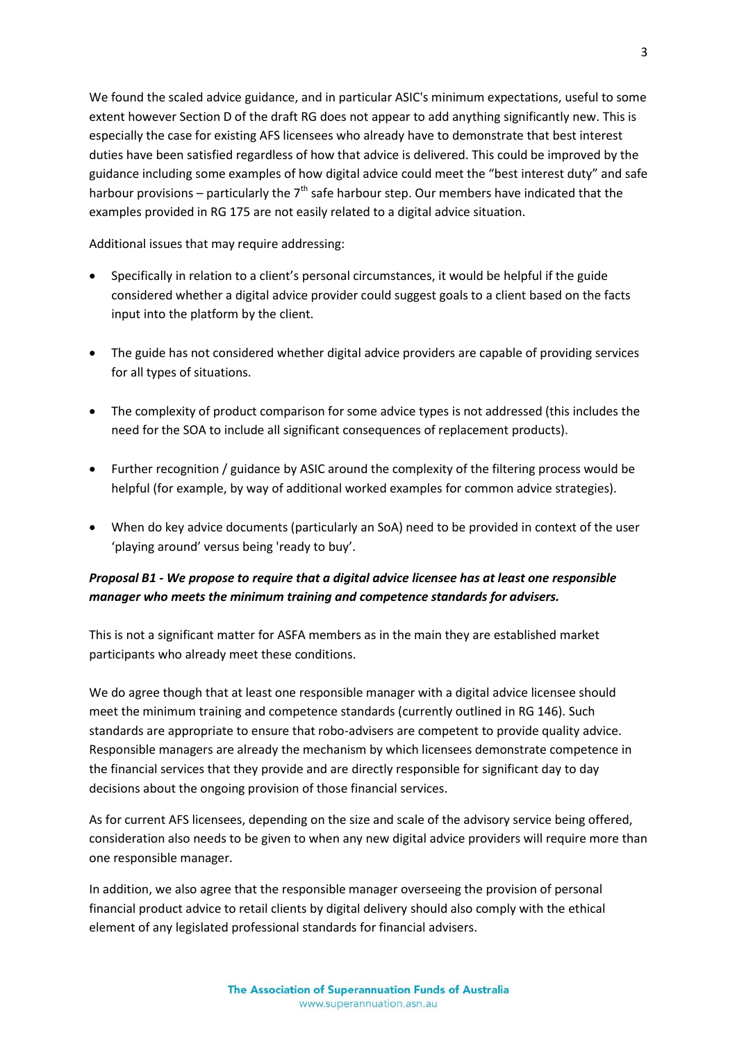We found the scaled advice guidance, and in particular ASIC's minimum expectations, useful to some extent however Section D of the draft RG does not appear to add anything significantly new. This is especially the case for existing AFS licensees who already have to demonstrate that best interest duties have been satisfied regardless of how that advice is delivered. This could be improved by the guidance including some examples of how digital advice could meet the "best interest duty" and safe harbour provisions – particularly the  $7<sup>th</sup>$  safe harbour step. Our members have indicated that the examples provided in RG 175 are not easily related to a digital advice situation.

Additional issues that may require addressing:

- Specifically in relation to a client's personal circumstances, it would be helpful if the guide considered whether a digital advice provider could suggest goals to a client based on the facts input into the platform by the client.
- The guide has not considered whether digital advice providers are capable of providing services for all types of situations.
- The complexity of product comparison for some advice types is not addressed (this includes the need for the SOA to include all significant consequences of replacement products).
- Further recognition / guidance by ASIC around the complexity of the filtering process would be helpful (for example, by way of additional worked examples for common advice strategies).
- When do key advice documents (particularly an SoA) need to be provided in context of the user 'playing around' versus being 'ready to buy'.

# *Proposal B1 - We propose to require that a digital advice licensee has at least one responsible manager who meets the minimum training and competence standards for advisers.*

This is not a significant matter for ASFA members as in the main they are established market participants who already meet these conditions.

We do agree though that at least one responsible manager with a digital advice licensee should meet the minimum training and competence standards (currently outlined in RG 146). Such standards are appropriate to ensure that robo-advisers are competent to provide quality advice. Responsible managers are already the mechanism by which licensees demonstrate competence in the financial services that they provide and are directly responsible for significant day to day decisions about the ongoing provision of those financial services.

As for current AFS licensees, depending on the size and scale of the advisory service being offered, consideration also needs to be given to when any new digital advice providers will require more than one responsible manager.

In addition, we also agree that the responsible manager overseeing the provision of personal financial product advice to retail clients by digital delivery should also comply with the ethical element of any legislated professional standards for financial advisers.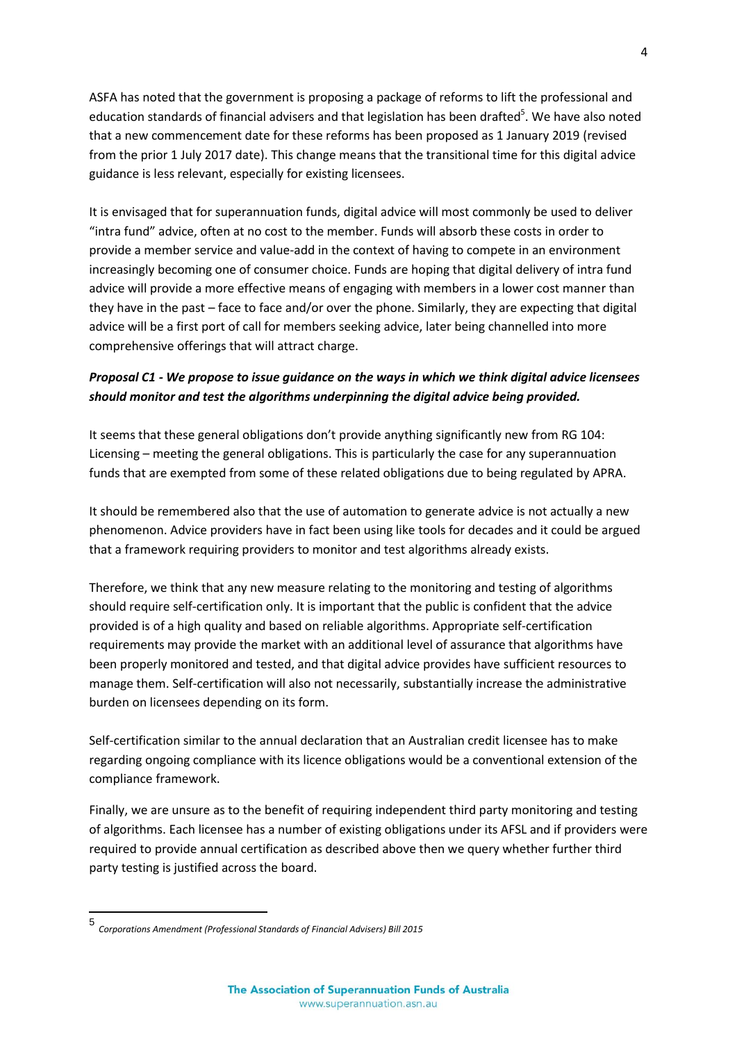ASFA has noted that the government is proposing a package of reforms to lift the professional and education standards of financial advisers and that legislation has been drafted<sup>5</sup>. We have also noted that a new commencement date for these reforms has been proposed as 1 January 2019 (revised from the prior 1 July 2017 date). This change means that the transitional time for this digital advice guidance is less relevant, especially for existing licensees.

It is envisaged that for superannuation funds, digital advice will most commonly be used to deliver "intra fund" advice, often at no cost to the member. Funds will absorb these costs in order to provide a member service and value-add in the context of having to compete in an environment increasingly becoming one of consumer choice. Funds are hoping that digital delivery of intra fund advice will provide a more effective means of engaging with members in a lower cost manner than they have in the past – face to face and/or over the phone. Similarly, they are expecting that digital advice will be a first port of call for members seeking advice, later being channelled into more comprehensive offerings that will attract charge.

## *Proposal C1 - We propose to issue guidance on the ways in which we think digital advice licensees should monitor and test the algorithms underpinning the digital advice being provided.*

It seems that these general obligations don't provide anything significantly new from RG 104: Licensing – meeting the general obligations. This is particularly the case for any superannuation funds that are exempted from some of these related obligations due to being regulated by APRA.

It should be remembered also that the use of automation to generate advice is not actually a new phenomenon. Advice providers have in fact been using like tools for decades and it could be argued that a framework requiring providers to monitor and test algorithms already exists.

Therefore, we think that any new measure relating to the monitoring and testing of algorithms should require self-certification only. It is important that the public is confident that the advice provided is of a high quality and based on reliable algorithms. Appropriate self-certification requirements may provide the market with an additional level of assurance that algorithms have been properly monitored and tested, and that digital advice provides have sufficient resources to manage them. Self-certification will also not necessarily, substantially increase the administrative burden on licensees depending on its form.

Self-certification similar to the annual declaration that an Australian credit licensee has to make regarding ongoing compliance with its licence obligations would be a conventional extension of the compliance framework.

Finally, we are unsure as to the benefit of requiring independent third party monitoring and testing of algorithms. Each licensee has a number of existing obligations under its AFSL and if providers were required to provide annual certification as described above then we query whether further third party testing is justified across the board.

 5 *Corporations Amendment (Professional Standards of Financial Advisers) Bill 2015*